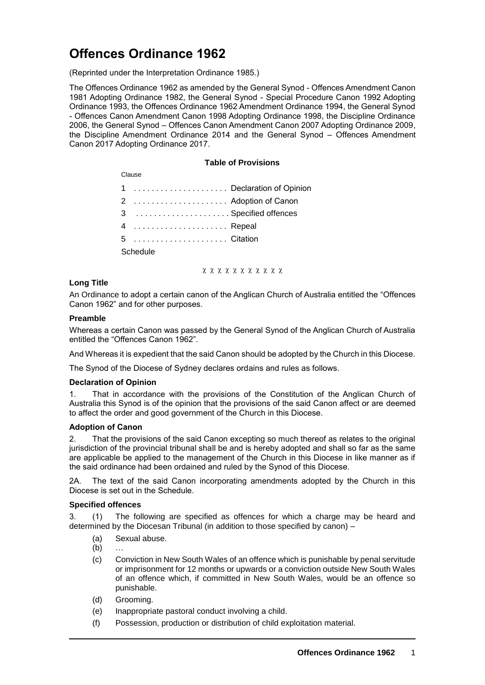# **Offences Ordinance 1962**

(Reprinted under the Interpretation Ordinance 1985.)

The Offences Ordinance 1962 as amended by the General Synod - Offences Amendment Canon 1981 Adopting Ordinance 1982, the General Synod - Special Procedure Canon 1992 Adopting Ordinance 1993, the Offences Ordinance 1962 Amendment Ordinance 1994, the General Synod - Offences Canon Amendment Canon 1998 Adopting Ordinance 1998, the Discipline Ordinance 2006, the General Synod – Offences Canon Amendment Canon 2007 Adopting Ordinance 2009, the Discipline Amendment Ordinance 2014 and the General Synod – Offences Amendment Canon 2017 Adopting Ordinance 2017.

## **Table of Provisions**

Clause . . . . . . . . . . . . . . . . . . . . . Declaration of Opinion . . . . . . . . . . . . . . . . . . . . . Adoption of Canon . . . . . . . . . . . . . . . . . . . . . Specified offences . . . . . . . . . . . . . . . . . . . . . Repeal . . . . . . . . . . . . . . . . . . . . . Citation **Schedule** 

x x x x x x x x x x x

# **Long Title**

An Ordinance to adopt a certain canon of the Anglican Church of Australia entitled the "Offences Canon 1962" and for other purposes.

## **Preamble**

Whereas a certain Canon was passed by the General Synod of the Anglican Church of Australia entitled the "Offences Canon 1962".

And Whereas it is expedient that the said Canon should be adopted by the Church in this Diocese.

The Synod of the Diocese of Sydney declares ordains and rules as follows.

# **Declaration of Opinion**

1. That in accordance with the provisions of the Constitution of the Anglican Church of Australia this Synod is of the opinion that the provisions of the said Canon affect or are deemed to affect the order and good government of the Church in this Diocese.

# **Adoption of Canon**

2. That the provisions of the said Canon excepting so much thereof as relates to the original jurisdiction of the provincial tribunal shall be and is hereby adopted and shall so far as the same are applicable be applied to the management of the Church in this Diocese in like manner as if the said ordinance had been ordained and ruled by the Synod of this Diocese.

2A. The text of the said Canon incorporating amendments adopted by the Church in this Diocese is set out in the Schedule.

## **Specified offences**

3. (1) The following are specified as offences for which a charge may be heard and determined by the Diocesan Tribunal (in addition to those specified by canon) –

- (a) Sexual abuse.
- (b) …
- (c) Conviction in New South Wales of an offence which is punishable by penal servitude or imprisonment for 12 months or upwards or a conviction outside New South Wales of an offence which, if committed in New South Wales, would be an offence so punishable.
- (d) Grooming.
- (e) Inappropriate pastoral conduct involving a child.
- (f) Possession, production or distribution of child exploitation material.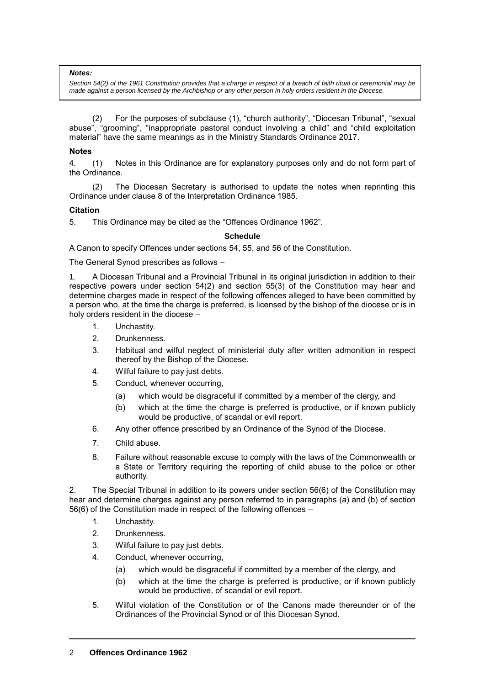#### *Notes:*

*Section 54(2) of the 1961 Constitution provides that a charge in respect of a breach of faith ritual or ceremonial may be made against a person licensed by the Archbishop or any other person in holy orders resident in the Diocese.*

(2) For the purposes of subclause (1), "church authority", "Diocesan Tribunal", "sexual abuse", "grooming", "inappropriate pastoral conduct involving a child" and "child exploitation material" have the same meanings as in the Ministry Standards Ordinance 2017.

## **Notes**

4. (1) Notes in this Ordinance are for explanatory purposes only and do not form part of the Ordinance.

(2) The Diocesan Secretary is authorised to update the notes when reprinting this Ordinance under clause 8 of the Interpretation Ordinance 1985.

## **Citation**

5. This Ordinance may be cited as the "Offences Ordinance 1962".

## **Schedule**

A Canon to specify Offences under sections 54, 55, and 56 of the Constitution.

The General Synod prescribes as follows –

1. A Diocesan Tribunal and a Provincial Tribunal in its original jurisdiction in addition to their respective powers under section 54(2) and section 55(3) of the Constitution may hear and determine charges made in respect of the following offences alleged to have been committed by a person who, at the time the charge is preferred, is licensed by the bishop of the diocese or is in holy orders resident in the diocese –

- 1. Unchastity.
- 2. Drunkenness.
- 3. Habitual and wilful neglect of ministerial duty after written admonition in respect thereof by the Bishop of the Diocese.
- 4. Wilful failure to pay just debts.
- 5. Conduct, whenever occurring,
	- (a) which would be disgraceful if committed by a member of the clergy, and
	- (b) which at the time the charge is preferred is productive, or if known publicly would be productive, of scandal or evil report.
- 6. Any other offence prescribed by an Ordinance of the Synod of the Diocese.
- 7. Child abuse.
- 8. Failure without reasonable excuse to comply with the laws of the Commonwealth or a State or Territory requiring the reporting of child abuse to the police or other authority.

2. The Special Tribunal in addition to its powers under section 56(6) of the Constitution may hear and determine charges against any person referred to in paragraphs (a) and (b) of section 56(6) of the Constitution made in respect of the following offences –

- 1. Unchastity.
- 2. Drunkenness.
- 3. Wilful failure to pay just debts.
- 4. Conduct, whenever occurring,
	- (a) which would be disgraceful if committed by a member of the clergy, and
	- (b) which at the time the charge is preferred is productive, or if known publicly would be productive, of scandal or evil report.
- 5. Wilful violation of the Constitution or of the Canons made thereunder or of the Ordinances of the Provincial Synod or of this Diocesan Synod.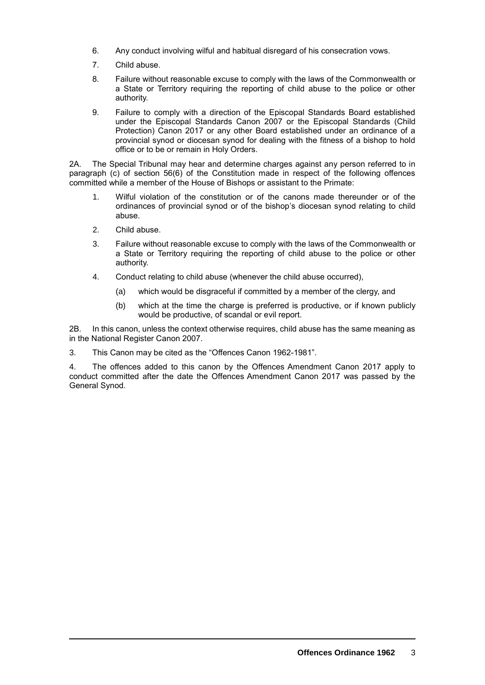- 6. Any conduct involving wilful and habitual disregard of his consecration vows.
- 7. Child abuse.
- 8. Failure without reasonable excuse to comply with the laws of the Commonwealth or a State or Territory requiring the reporting of child abuse to the police or other authority.
- 9. Failure to comply with a direction of the Episcopal Standards Board established under the Episcopal Standards Canon 2007 or the Episcopal Standards (Child Protection) Canon 2017 or any other Board established under an ordinance of a provincial synod or diocesan synod for dealing with the fitness of a bishop to hold office or to be or remain in Holy Orders.

2A. The Special Tribunal may hear and determine charges against any person referred to in paragraph (c) of section 56(6) of the Constitution made in respect of the following offences committed while a member of the House of Bishops or assistant to the Primate:

- 1. Wilful violation of the constitution or of the canons made thereunder or of the ordinances of provincial synod or of the bishop's diocesan synod relating to child abuse.
- 2. Child abuse.
- 3. Failure without reasonable excuse to comply with the laws of the Commonwealth or a State or Territory requiring the reporting of child abuse to the police or other authority.
- 4. Conduct relating to child abuse (whenever the child abuse occurred),
	- (a) which would be disgraceful if committed by a member of the clergy, and
	- (b) which at the time the charge is preferred is productive, or if known publicly would be productive, of scandal or evil report.

2B. In this canon, unless the context otherwise requires, child abuse has the same meaning as in the National Register Canon 2007.

3. This Canon may be cited as the "Offences Canon 1962-1981".

4. The offences added to this canon by the Offences Amendment Canon 2017 apply to conduct committed after the date the Offences Amendment Canon 2017 was passed by the General Synod.